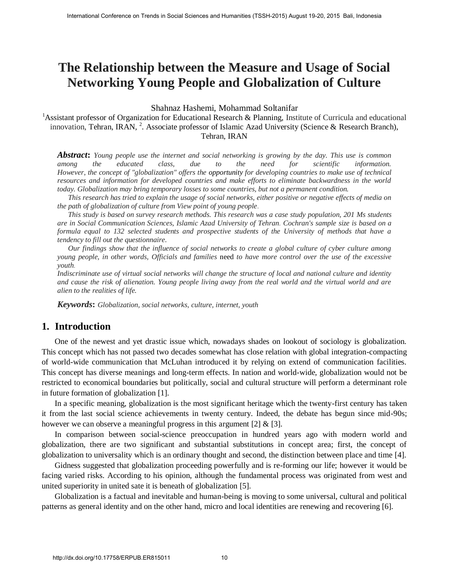# **The Relationship between the Measure and Usage of Social Networking Young People and Globalization of Culture**

Shahnaz Hashemi, Mohammad Soltanifar

<sup>1</sup>Assistant professor of Organization for Educational Research & Planning, Institute of Curricula and educational innovation, Tehran, IRAN, <sup>2</sup>. Associate professor of Islamic Azad University (Science & Research Branch), Tehran, IRAN

*Abstract***:** *Young people use the internet and social networking is growing by the day. This use is common among the educated class, due to the need for scientific information. However, the concept of "globalization" offers the opportunity for developing countries to make use of technical resources and information for developed countries and make efforts to eliminate backwardness in the world today. Globalization may bring temporary losses to some countries, but not a permanent condition.*

*This research has tried to explain the usage of social networks, either positive or negative effects of media on the path of globalization of culture from View point of young people.* 

*This study is based on survey research methods. This research was a case study population, 201 Ms students are in Social Communication Sciences, Islamic Azad University of Tehran. Cochran's sample size is based on a formula equal to 132 selected students and prospective students of the University of methods that have a tendency to fill out the questionnaire.*

*Our findings show that the influence of social networks to create a global culture of cyber culture among young people, in other words, Officials and families* need *to have more control over the use of the excessive youth.* 

*Indiscriminate use of virtual social networks will change the structure of local and national culture and identity and cause the risk of alienation. Young people living away from the real world and the virtual world and are alien to the realities of life.*

*Keywords***:** *Globalization, social networks, culture, internet, youth*

# **1. Introduction**

One of the newest and yet drastic issue which, nowadays shades on lookout of sociology is globalization. This concept which has not passed two decades somewhat has close relation with global integration-compacting of world-wide communication that McLuhan introduced it by relying on extend of communication facilities. This concept has diverse meanings and long-term effects. In nation and world-wide, globalization would not be restricted to economical boundaries but politically, social and cultural structure will perform a determinant role in future formation of globalization [1]. Fractraine Conference on Trends in Social Science on Trends in Social Science and Usage of Social Sciences (Neuron Science on the Measure and Usage of Social Science of Organization In Humanities (Tomas Science of Departm

In a specific meaning, globalization is the most significant heritage which the twenty-first century has taken it from the last social science achievements in twenty century. Indeed, the debate has begun since mid-90s; however we can observe a meaningful progress in this argument [2]  $\&$  [3].

In comparison between social-science preoccupation in hundred years ago with modern world and globalization, there are two significant and substantial substitutions in concept area; first, the concept of globalization to universality which is an ordinary thought and second, the distinction between place and time [4].

Gidness suggested that globalization proceeding powerfully and is re-forming our life; however it would be facing varied risks. According to his opinion, although the fundamental process was originated from west and united superiority in united sate it is beneath of globalization [5].

Globalization is a factual and inevitable and human-being is moving to some universal, cultural and political patterns as general identity and on the other hand, micro and local identities are renewing and recovering [6].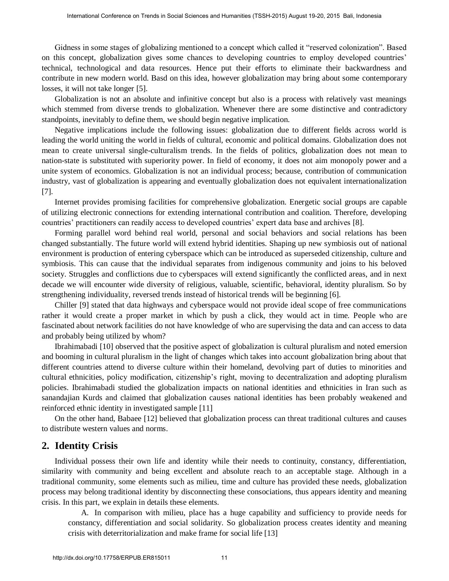Gidness in some stages of globalizing mentioned to a concept which called it "reserved colonization". Based on this concept, globalization gives some chances to developing countries to employ developed countries' technical, technological and data resources. Hence put their efforts to eliminate their backwardness and contribute in new modern world. Basd on this idea, however globalization may bring about some contemporary losses, it will not take longer [5].

Globalization is not an absolute and infinitive concept but also is a process with relatively vast meanings which stemmed from diverse trends to globalization. Whenever there are some distinctive and contradictory standpoints, inevitably to define them, we should begin negative implication.

Negative implications include the following issues: globalization due to different fields across world is leading the world uniting the world in fields of cultural, economic and political domains. Globalization does not mean to create universal single-culturalism trends. In the fields of politics, globalization does not mean to nation-state is substituted with superiority power. In field of economy, it does not aim monopoly power and a unite system of economics. Globalization is not an individual process; because, contribution of communication industry, vast of globalization is appearing and eventually globalization does not equivalent internationalization [7].

Internet provides promising facilities for comprehensive globalization. Energetic social groups are capable of utilizing electronic connections for extending international contribution and coalition. Therefore, developing countries' practitioners can readily access to developed countries' expert data base and archives [8].

Forming parallel word behind real world, personal and social behaviors and social relations has been changed substantially. The future world will extend hybrid identities. Shaping up new symbiosis out of national environment is production of entering cyberspace which can be introduced as superseded citizenship, culture and symbiosis. This can cause that the individual separates from indigenous community and joins to his beloved society. Struggles and conflictions due to cyberspaces will extend significantly the conflicted areas, and in next decade we will encounter wide diversity of religious, valuable, scientific, behavioral, identity pluralism. So by strengthening individuality, reversed trends instead of historical trends will be beginning [6]. **Freences on Trude in Social Science or Urals in Social Sciences and the second with collected conference on Trends in Social Sciences and Conference in Social Science in Social Science in Social Science and Humanities (T** 

Chiller [9] stated that data highways and cyberspace would not provide ideal scope of free communications rather it would create a proper market in which by push a click, they would act in time. People who are fascinated about network facilities do not have knowledge of who are supervising the data and can access to data and probably being utilized by whom?

Ibrahimabadi [10] observed that the positive aspect of globalization is cultural pluralism and noted emersion and booming in cultural pluralism in the light of changes which takes into account globalization bring about that different countries attend to diverse culture within their homeland, devolving part of duties to minorities and cultural ethnicities, policy modification, citizenship's right, moving to decentralization and adopting pluralism policies. Ibrahimabadi studied the globalization impacts on national identities and ethnicities in Iran such as sanandajian Kurds and claimed that globalization causes national identities has been probably weakened and reinforced ethnic identity in investigated sample [11]

On the other hand, Babaee [12] believed that globalization process can threat traditional cultures and causes to distribute western values and norms.

## **2. Identity Crisis**

Individual possess their own life and identity while their needs to continuity, constancy, differentiation, similarity with community and being excellent and absolute reach to an acceptable stage. Although in a traditional community, some elements such as milieu, time and culture has provided these needs, globalization process may belong traditional identity by disconnecting these consociations, thus appears identity and meaning crisis. In this part, we explain in details these elements.

A. In comparison with milieu, place has a huge capability and sufficiency to provide needs for constancy, differentiation and social solidarity. So globalization process creates identity and meaning crisis with deterritorialization and make frame for social life [13]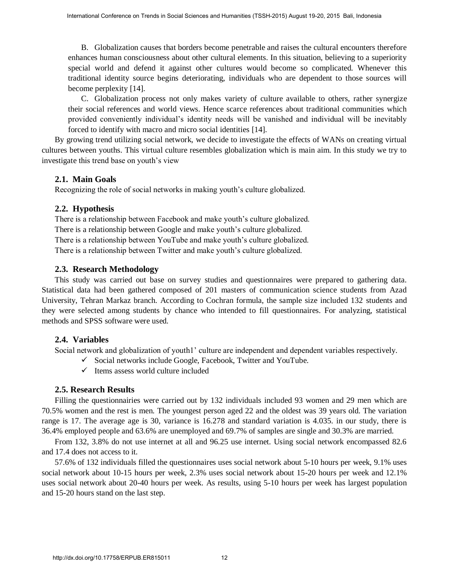B. Globalization causes that borders become penetrable and raises the cultural encounters therefore enhances human consciousness about other cultural elements. In this situation, believing to a superiority special world and defend it against other cultures would become so complicated. Whenever this traditional identity source begins deteriorating, individuals who are dependent to those sources will become perplexity [14].

C. Globalization process not only makes variety of culture available to others, rather synergize their social references and world views. Hence scarce references about traditional communities which provided conveniently individual's identity needs will be vanished and individual will be inevitably forced to identify with macro and micro social identities [14].

By growing trend utilizing social network, we decide to investigate the effects of WANs on creating virtual cultures between youths. This virtual culture resembles globalization which is main aim. In this study we try to investigate this trend base on youth's view

## **2.1. Main Goals**

Recognizing the role of social networks in making youth's culture globalized.

### **2.2. Hypothesis**

There is a relationship between Facebook and make youth's culture globalized.

There is a relationship between Google and make youth's culture globalized.

There is a relationship between YouTube and make youth's culture globalized.

There is a relationship between Twitter and make youth's culture globalized.

#### **2.3. Research Methodology**

This study was carried out base on survey studies and questionnaires were prepared to gathering data. Statistical data had been gathered composed of 201 masters of communication science students from Azad University, Tehran Markaz branch. According to Cochran formula, the sample size included 132 students and they were selected among students by chance who intended to fill questionnaires. For analyzing, statistical methods and SPSS software were used. Fractional Collemetra on Trends in Social Sciences are iterational conference on Trends in A Conference on Trends in Social Sciences and Humanities (Take since the calculate and Humanities conference on the maximum of the

#### **2.4. Variables**

Social network and globalization of youth1' culture are independent and dependent variables respectively.

- $\checkmark$  Social networks include Google, Facebook, Twitter and YouTube.
- $\checkmark$  Items assess world culture included

#### **2.5. Research Results**

Filling the questionnairies were carried out by 132 individuals included 93 women and 29 men which are 70.5% women and the rest is men. The youngest person aged 22 and the oldest was 39 years old. The variation range is 17. The average age is 30, variance is 16.278 and standard variation is 4.035. in our study, there is 36.4% employed people and 63.6% are unemployed and 69.7% of samples are single and 30.3% are married.

From 132, 3.8% do not use internet at all and 96.25 use internet. Using social network encompassed 82.6 and 17.4 does not access to it.

57.6% of 132 individuals filled the questionnaires uses social network about 5-10 hours per week, 9.1% uses social network about 10-15 hours per week, 2.3% uses social network about 15-20 hours per week and 12.1% uses social network about 20-40 hours per week. As results, using 5-10 hours per week has largest population and 15-20 hours stand on the last step.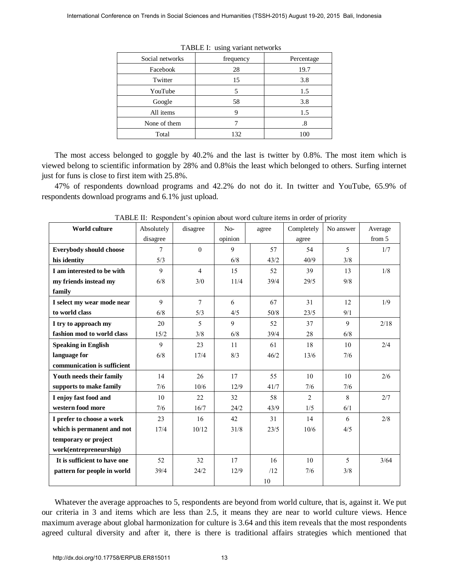| Social networks | frequency | Percentage |  |
|-----------------|-----------|------------|--|
| Facebook        | 28        | 19.7       |  |
| Twitter         | 15        | 3.8        |  |
| YouTube         | 5         | 1.5        |  |
| Google          | 58        | 3.8        |  |
| All items       |           | 1.5        |  |
| None of them    |           | .8         |  |
| Total           | 132       | 100        |  |

TABLE I: using variant networks

|                                                                                                                                                                                                                                                                                                                                     | Social networks |                                                                              | frequency | TABLE I: using variant networks | Percentage     |           |         |
|-------------------------------------------------------------------------------------------------------------------------------------------------------------------------------------------------------------------------------------------------------------------------------------------------------------------------------------|-----------------|------------------------------------------------------------------------------|-----------|---------------------------------|----------------|-----------|---------|
|                                                                                                                                                                                                                                                                                                                                     | Facebook        |                                                                              | 28        |                                 | 19.7           |           |         |
|                                                                                                                                                                                                                                                                                                                                     | Twitter         |                                                                              | 15        |                                 | 3.8            |           |         |
|                                                                                                                                                                                                                                                                                                                                     | YouTube         |                                                                              | 5         |                                 | 1.5            |           |         |
|                                                                                                                                                                                                                                                                                                                                     | Google          |                                                                              | 58        |                                 | 3.8            |           |         |
|                                                                                                                                                                                                                                                                                                                                     | All items       |                                                                              | 9         |                                 | 1.5            |           |         |
|                                                                                                                                                                                                                                                                                                                                     | None of them    |                                                                              | $\tau$    |                                 | .8             |           |         |
|                                                                                                                                                                                                                                                                                                                                     | Total           |                                                                              | 132       |                                 | 100            |           |         |
| The most access belonged to goggle by 40.2% and the last is twitter by 0.8%. The most item which                                                                                                                                                                                                                                    |                 |                                                                              |           |                                 |                |           |         |
| ewed belong to scientific information by 28% and 0.8% is the least which belonged to others. Surfing intern                                                                                                                                                                                                                         |                 |                                                                              |           |                                 |                |           |         |
| st for funs is close to first item with 25.8%.                                                                                                                                                                                                                                                                                      |                 |                                                                              |           |                                 |                |           |         |
| 47% of respondents download programs and 42.2% do not do it. In twitter and YouTube, 65.9%                                                                                                                                                                                                                                          |                 |                                                                              |           |                                 |                |           |         |
| spondents download programs and 6.1% just upload.                                                                                                                                                                                                                                                                                   |                 |                                                                              |           |                                 |                |           |         |
|                                                                                                                                                                                                                                                                                                                                     |                 |                                                                              |           |                                 |                |           |         |
|                                                                                                                                                                                                                                                                                                                                     |                 | TABLE II: Respondent's opinion about word culture items in order of priority |           |                                 |                |           |         |
| World culture                                                                                                                                                                                                                                                                                                                       | Absolutely      | disagree                                                                     | $No-$     | agree                           | Completely     | No answer | Average |
|                                                                                                                                                                                                                                                                                                                                     | disagree        |                                                                              | opinion   |                                 | agree          |           | from 5  |
| <b>Everybody should choose</b>                                                                                                                                                                                                                                                                                                      | 7               | $\boldsymbol{0}$                                                             | 9         | 57                              | 54             | 5         | 1/7     |
| his identity                                                                                                                                                                                                                                                                                                                        | 5/3             |                                                                              | 6/8       | 43/2                            | 40/9           | 3/8       |         |
| I am interested to be with                                                                                                                                                                                                                                                                                                          | 9               | $\overline{4}$                                                               | 15        | 52                              | 39             | 13        | 1/8     |
| my friends instead my<br>family                                                                                                                                                                                                                                                                                                     | 6/8             | 3/0                                                                          | 11/4      | 39/4                            | 29/5           | 9/8       |         |
| I select my wear mode near                                                                                                                                                                                                                                                                                                          | 9               | $\tau$                                                                       | 6         | 67                              | 31             | 12        | 1/9     |
| to world class                                                                                                                                                                                                                                                                                                                      | 6/8             | 5/3                                                                          | 4/5       | $50/8$                          | 23/5           | 9/1       |         |
| I try to approach my                                                                                                                                                                                                                                                                                                                | 20              | 5                                                                            | 9         | 52                              | 37             | 9         | 2/18    |
| fashion mod to world class                                                                                                                                                                                                                                                                                                          | 15/2            | 3/8                                                                          | 6/8       | 39/4                            | 28             | 6/8       |         |
| <b>Speaking in English</b>                                                                                                                                                                                                                                                                                                          | 9               | 23                                                                           | 11        | 61                              | 18             | 10        | $2/4\,$ |
| language for                                                                                                                                                                                                                                                                                                                        | 6/8             | 17/4                                                                         | 8/3       | 46/2                            | 13/6           | 7/6       |         |
| communication is sufficient                                                                                                                                                                                                                                                                                                         |                 |                                                                              |           |                                 |                |           |         |
| Youth needs their family                                                                                                                                                                                                                                                                                                            | 14              | 26                                                                           | 17        | 55                              | 10             | 10        | 2/6     |
| supports to make family                                                                                                                                                                                                                                                                                                             | 7/6             | $10/6$                                                                       | 12/9      | 41/7                            | 7/6            | 7/6       |         |
| I enjoy fast food and                                                                                                                                                                                                                                                                                                               | 10              | 22                                                                           | 32        | 58                              | $\overline{2}$ | 8         | 2/7     |
| western food more                                                                                                                                                                                                                                                                                                                   | 7/6             | 16/7                                                                         | 24/2      | 43/9                            | 1/5            | 6/1       |         |
| I prefer to choose a work                                                                                                                                                                                                                                                                                                           | 23              | 16                                                                           | 42        | 31                              | 14             | 6         | $2/8$   |
| which is permanent and not                                                                                                                                                                                                                                                                                                          | 17/4            | 10/12                                                                        | $31/8$    | 23/5                            | 10/6           | 4/5       |         |
| temporary or project                                                                                                                                                                                                                                                                                                                |                 |                                                                              |           |                                 |                |           |         |
| work(entrepreneurship)                                                                                                                                                                                                                                                                                                              |                 |                                                                              |           |                                 |                |           |         |
| It is sufficient to have one                                                                                                                                                                                                                                                                                                        | 52              | 32                                                                           | 17        | 16                              | 10             | 5         | 3/64    |
| pattern for people in world                                                                                                                                                                                                                                                                                                         | 39/4            | 24/2                                                                         | 12/9      | /12                             | 7/6            | 3/8       |         |
|                                                                                                                                                                                                                                                                                                                                     |                 |                                                                              |           | 10                              |                |           |         |
| Whatever the average approaches to 5, respondents are beyond from world culture, that is, against it. We p<br>ar criteria in 3 and items which are less than 2.5, it means they are near to world culture views. Hen<br>aximum average about global harmonization for culture is 3.64 and this item reveals that the most responder |                 |                                                                              |           |                                 |                |           |         |

TABLE II: Respondent's opinion about word culture items in order of priority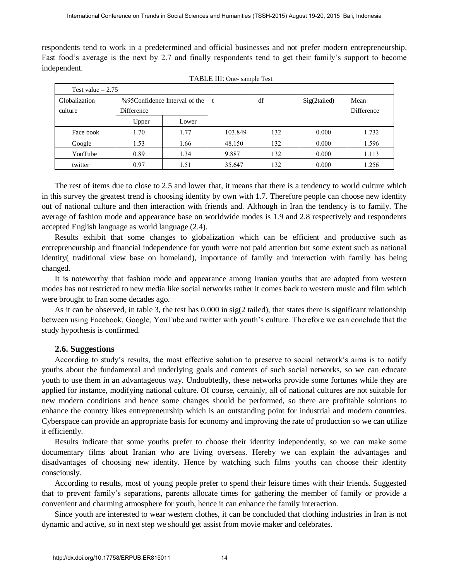respondents tend to work in a predetermined and official businesses and not prefer modern entrepreneurship. Fast food's average is the next by 2.7 and finally respondents tend to get their family's support to become independent.

| ependent.                                                                                                                                                                                                                                                                                                                                                                                                                                                                                                                                                                                                                                                                                                                                                                                                                                                                                                                                                                                                                                                                                                                                                                                                                                                                                                                                                                                                                                                                                                                                                                                                                                          |                                           |       | TABLE III: One- sample Test |     |              |            |
|----------------------------------------------------------------------------------------------------------------------------------------------------------------------------------------------------------------------------------------------------------------------------------------------------------------------------------------------------------------------------------------------------------------------------------------------------------------------------------------------------------------------------------------------------------------------------------------------------------------------------------------------------------------------------------------------------------------------------------------------------------------------------------------------------------------------------------------------------------------------------------------------------------------------------------------------------------------------------------------------------------------------------------------------------------------------------------------------------------------------------------------------------------------------------------------------------------------------------------------------------------------------------------------------------------------------------------------------------------------------------------------------------------------------------------------------------------------------------------------------------------------------------------------------------------------------------------------------------------------------------------------------------|-------------------------------------------|-------|-----------------------------|-----|--------------|------------|
| Test value $= 2.75$                                                                                                                                                                                                                                                                                                                                                                                                                                                                                                                                                                                                                                                                                                                                                                                                                                                                                                                                                                                                                                                                                                                                                                                                                                                                                                                                                                                                                                                                                                                                                                                                                                |                                           |       |                             |     |              |            |
| Globalization<br>%95Confidence Interval of the                                                                                                                                                                                                                                                                                                                                                                                                                                                                                                                                                                                                                                                                                                                                                                                                                                                                                                                                                                                                                                                                                                                                                                                                                                                                                                                                                                                                                                                                                                                                                                                                     |                                           |       | t                           | df  | Sig(2tailed) | Mean       |
| culture                                                                                                                                                                                                                                                                                                                                                                                                                                                                                                                                                                                                                                                                                                                                                                                                                                                                                                                                                                                                                                                                                                                                                                                                                                                                                                                                                                                                                                                                                                                                                                                                                                            | Difference                                |       |                             |     |              | Difference |
|                                                                                                                                                                                                                                                                                                                                                                                                                                                                                                                                                                                                                                                                                                                                                                                                                                                                                                                                                                                                                                                                                                                                                                                                                                                                                                                                                                                                                                                                                                                                                                                                                                                    | Upper                                     | Lower |                             |     |              |            |
| Face book                                                                                                                                                                                                                                                                                                                                                                                                                                                                                                                                                                                                                                                                                                                                                                                                                                                                                                                                                                                                                                                                                                                                                                                                                                                                                                                                                                                                                                                                                                                                                                                                                                          | 1.70                                      | 1.77  | 103.849                     | 132 | 0.000        | 1.732      |
| Google                                                                                                                                                                                                                                                                                                                                                                                                                                                                                                                                                                                                                                                                                                                                                                                                                                                                                                                                                                                                                                                                                                                                                                                                                                                                                                                                                                                                                                                                                                                                                                                                                                             | 1.53                                      | 1.66  | 48.150                      | 132 | 0.000        | 1.596      |
| YouTube                                                                                                                                                                                                                                                                                                                                                                                                                                                                                                                                                                                                                                                                                                                                                                                                                                                                                                                                                                                                                                                                                                                                                                                                                                                                                                                                                                                                                                                                                                                                                                                                                                            | 0.89                                      | 1.34  | 9.887                       | 132 | 0.000        | 1.113      |
| twitter                                                                                                                                                                                                                                                                                                                                                                                                                                                                                                                                                                                                                                                                                                                                                                                                                                                                                                                                                                                                                                                                                                                                                                                                                                                                                                                                                                                                                                                                                                                                                                                                                                            | 0.97                                      | 1.51  | 35.647                      | 132 | 0.000        | 1.256      |
| Results exhibit that some changes to globalization which can be efficient and productive such<br>repreneurship and financial independence for youth were not paid attention but some extent such as national<br>ntity (traditional view base on homeland), importance of family and interaction with family has be<br>nged.<br>It is noteworthy that fashion mode and appearance among Iranian youths that are adopted from west<br>des has not restricted to new media like social networks rather it comes back to western music and film wl<br>e brought to Iran some decades ago.<br>As it can be observed, in table 3, the test has 0.000 in sig(2 tailed), that states there is significant relations<br>ween using Facebook, Google, YouTube and twitter with youth's culture. Therefore we can conclude that<br>ly hypothesis is confirmed.                                                                                                                                                                                                                                                                                                                                                                                                                                                                                                                                                                                                                                                                                                                                                                                                |                                           |       |                             |     |              |            |
| 2.6. Suggestions<br>According to study's results, the most effective solution to preserve to social network's aims is to no<br>ths about the fundamental and underlying goals and contents of such social networks, so we can educ<br>th to use them in an advantageous way. Undoubtedly, these networks provide some fortunes while they<br>lied for instance, modifying national culture. Of course, certainly, all of national cultures are not suitable<br>modern conditions and hence some changes should be performed, so there are profitable solutions<br>ance the country likes entrepreneurship which is an outstanding point for industrial and modern counti<br>perspace can provide an appropriate basis for economy and improving the rate of production so we can uti<br>fficiently.<br>Results indicate that some youths prefer to choose their identity independently, so we can make so<br>umentary films about Iranian who are living overseas. Hereby we can explain the advantages<br>advantages of choosing new identity. Hence by watching such films youths can choose their iden<br>sciously.<br>According to results, most of young people prefer to spend their leisure times with their friends. Sugges<br>t to prevent family's separations, parents allocate times for gathering the member of family or provide<br>venient and charming atmosphere for youth, hence it can enhance the family interaction.<br>Since youth are interested to wear western clothes, it can be concluded that clothing industries in Iran is<br>amic and active, so in next step we should get assist from movie maker and celebrates. |                                           |       |                             |     |              |            |
|                                                                                                                                                                                                                                                                                                                                                                                                                                                                                                                                                                                                                                                                                                                                                                                                                                                                                                                                                                                                                                                                                                                                                                                                                                                                                                                                                                                                                                                                                                                                                                                                                                                    | http://dx.doi.org/10.17758/ERPUB.ER815011 |       |                             |     |              |            |

The rest of items due to close to 2.5 and lower that, it means that there is a tendency to world culture which in this survey the greatest trend is choosing identity by own with 1.7. Therefore people can choose new identity out of national culture and then interaction with friends and. Although in Iran the tendency is to family. The average of fashion mode and appearance base on worldwide modes is 1.9 and 2.8 respectively and respondents accepted English language as world language (2.4).

Results exhibit that some changes to globalization which can be efficient and productive such as entrepreneurship and financial independence for youth were not paid attention but some extent such as national identity( traditional view base on homeland), importance of family and interaction with family has being changed.

It is noteworthy that fashion mode and appearance among Iranian youths that are adopted from western modes has not restricted to new media like social networks rather it comes back to western music and film which were brought to Iran some decades ago.

As it can be observed, in table 3, the test has 0.000 in sig(2 tailed), that states there is significant relationship between using Facebook, Google, YouTube and twitter with youth's culture. Therefore we can conclude that the study hypothesis is confirmed.

#### **2.6. Suggestions**

According to study's results, the most effective solution to preserve to social network's aims is to notify youths about the fundamental and underlying goals and contents of such social networks, so we can educate youth to use them in an advantageous way. Undoubtedly, these networks provide some fortunes while they are applied for instance, modifying national culture. Of course, certainly, all of national cultures are not suitable for new modern conditions and hence some changes should be performed, so there are profitable solutions to enhance the country likes entrepreneurship which is an outstanding point for industrial and modern countries. Cyberspace can provide an appropriate basis for economy and improving the rate of production so we can utilize it efficiently.

Results indicate that some youths prefer to choose their identity independently, so we can make some documentary films about Iranian who are living overseas. Hereby we can explain the advantages and disadvantages of choosing new identity. Hence by watching such films youths can choose their identity consciously.

According to results, most of young people prefer to spend their leisure times with their friends. Suggested that to prevent family's separations, parents allocate times for gathering the member of family or provide a convenient and charming atmosphere for youth, hence it can enhance the family interaction.

Since youth are interested to wear western clothes, it can be concluded that clothing industries in Iran is not dynamic and active, so in next step we should get assist from movie maker and celebrates.